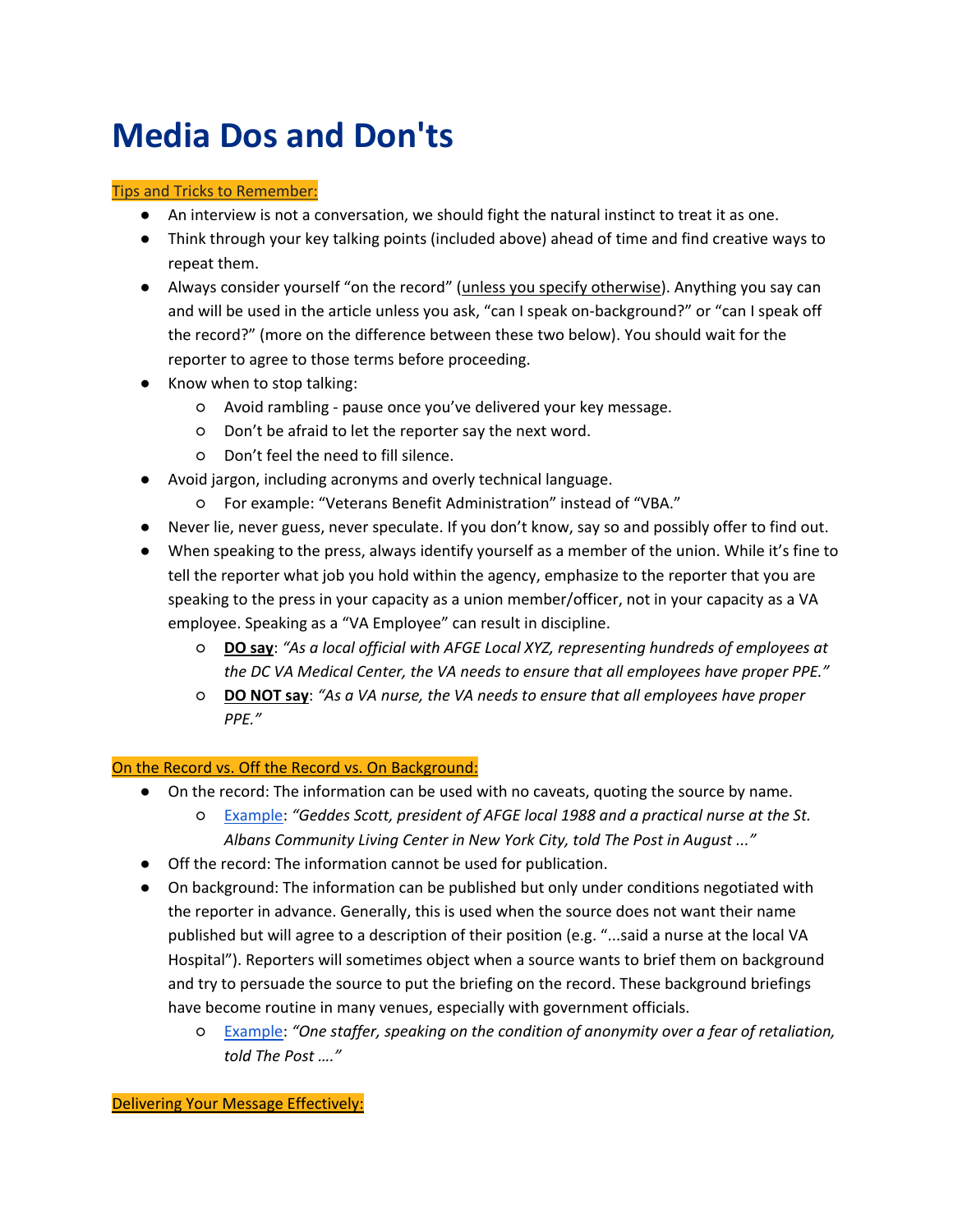## **Media Dos and Don'ts**

## Tips and Tricks to Remember:

- An interview is not a conversation, we should fight the natural instinct to treat it as one.
- Think through your key talking points (included above) ahead of time and find creative ways to repeat them.
- Always consider yourself "on the record" (unless you specify otherwise). Anything you say can and will be used in the article unless you ask, "can I speak on-background?" or "can I speak off the record?" (more on the difference between these two below). You should wait for the reporter to agree to those terms before proceeding.
- Know when to stop talking:
	- Avoid rambling pause once you've delivered your key message.
	- Don't be afraid to let the reporter say the next word.
	- Don't feel the need to fill silence.
- Avoid jargon, including acronyms and overly technical language.
	- For example: "Veterans Benefit Administration" instead of "VBA."
- Never lie, never guess, never speculate. If you don't know, say so and possibly offer to find out.
- When speaking to the press, always identify yourself as a member of the union. While it's fine to tell the reporter what job you hold within the agency, emphasize to the reporter that you are speaking to the press in your capacity as a union member/officer, not in your capacity as a VA employee. Speaking as a "VA Employee" can result in discipline.
	- **DO say**: *"As a local official with AFGE Local XYZ, representing hundreds of employees at the DC VA Medical Center, the VA needs to ensure that all employees have proper PPE."*
	- **DO NOT say**: *"As a VA nurse, the VA needs to ensure that all employees have proper PPE."*

## On the Record vs. Off the Record vs. On Background:

- On the record: The information can be used with no caveats, quoting the source by name.
	- [Example:](https://www.washingtonpost.com/national-security/2020/10/01/gao-racism-veterans-affairs/) *"Geddes Scott, president of AFGE local 1988 and a practical nurse at the St. Albans Community Living Center in New York City, told The Post in August ..."*
- Off the record: The information cannot be used for publication.
- On background: The information can be published but only under conditions negotiated with the reporter in advance. Generally, this is used when the source does not want their name published but will agree to a description of their position (e.g. "...said a nurse at the local VA Hospital"). Reporters will sometimes object when a source wants to brief them on background and try to persuade the source to put the briefing on the record. These background briefings have become routine in many venues, especially with government officials.
	- [Example:](https://www.washingtonpost.com/national-security/2020/10/01/gao-racism-veterans-affairs/) *"One staffer, speaking on the condition of anonymity over a fear of retaliation, told The Post …."*